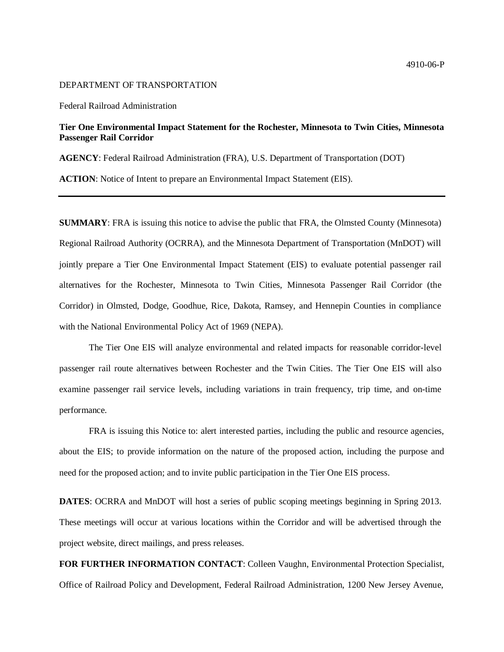## 4910-06-P

## DEPARTMENT OF TRANSPORTATION

Federal Railroad Administration

## **Tier One Environmental Impact Statement for the Rochester, Minnesota to Twin Cities, Minnesota Passenger Rail Corridor**

**AGENCY**: Federal Railroad Administration (FRA), U.S. Department of Transportation (DOT)

**ACTION**: Notice of Intent to prepare an Environmental Impact Statement (EIS).

**SUMMARY**: FRA is issuing this notice to advise the public that FRA, the Olmsted County (Minnesota) Regional Railroad Authority (OCRRA), and the Minnesota Department of Transportation (MnDOT) will jointly prepare a Tier One Environmental Impact Statement (EIS) to evaluate potential passenger rail alternatives for the Rochester, Minnesota to Twin Cities, Minnesota Passenger Rail Corridor (the Corridor) in Olmsted, Dodge, Goodhue, Rice, Dakota, Ramsey, and Hennepin Counties in compliance with the National Environmental Policy Act of 1969 (NEPA).

The Tier One EIS will analyze environmental and related impacts for reasonable corridor-level passenger rail route alternatives between Rochester and the Twin Cities. The Tier One EIS will also examine passenger rail service levels, including variations in train frequency, trip time, and on-time performance.

FRA is issuing this Notice to: alert interested parties, including the public and resource agencies, about the EIS; to provide information on the nature of the proposed action, including the purpose and need for the proposed action; and to invite public participation in the Tier One EIS process.

**DATES**: OCRRA and MnDOT will host a series of public scoping meetings beginning in Spring 2013. These meetings will occur at various locations within the Corridor and will be advertised through the project website, direct mailings, and press releases.

**FOR FURTHER INFORMATION CONTACT**: Colleen Vaughn, Environmental Protection Specialist, Office of Railroad Policy and Development, Federal Railroad Administration, 1200 New Jersey Avenue,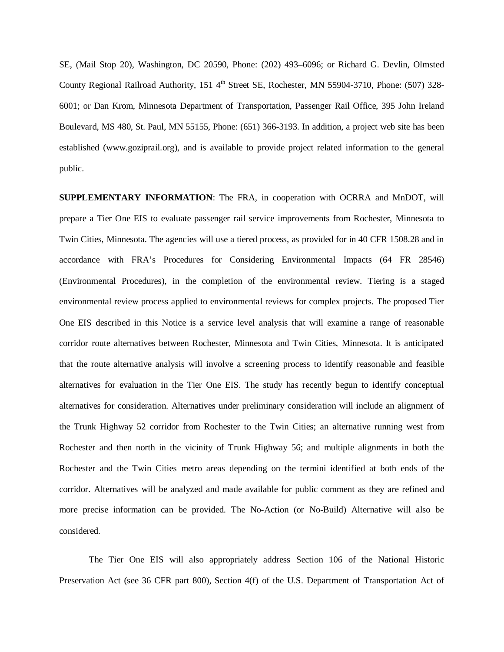SE, (Mail Stop 20), Washington, DC 20590, Phone: (202) 493–6096; or Richard G. Devlin, Olmsted County Regional Railroad Authority, 151 4<sup>th</sup> Street SE, Rochester, MN 55904-3710, Phone: (507) 328-6001; or Dan Krom, Minnesota Department of Transportation, Passenger Rail Office, 395 John Ireland Boulevard, MS 480, St. Paul, MN 55155, Phone: (651) 366-3193. In addition, a project web site has been established (www.goziprail.org), and is available to provide project related information to the general public.

**SUPPLEMENTARY INFORMATION**: The FRA, in cooperation with OCRRA and MnDOT, will prepare a Tier One EIS to evaluate passenger rail service improvements from Rochester, Minnesota to Twin Cities, Minnesota. The agencies will use a tiered process, as provided for in 40 CFR 1508.28 and in accordance with FRA's Procedures for Considering Environmental Impacts (64 FR 28546) (Environmental Procedures), in the completion of the environmental review. Tiering is a staged environmental review process applied to environmental reviews for complex projects. The proposed Tier One EIS described in this Notice is a service level analysis that will examine a range of reasonable corridor route alternatives between Rochester, Minnesota and Twin Cities, Minnesota. It is anticipated that the route alternative analysis will involve a screening process to identify reasonable and feasible alternatives for evaluation in the Tier One EIS. The study has recently begun to identify conceptual alternatives for consideration. Alternatives under preliminary consideration will include an alignment of the Trunk Highway 52 corridor from Rochester to the Twin Cities; an alternative running west from Rochester and then north in the vicinity of Trunk Highway 56; and multiple alignments in both the Rochester and the Twin Cities metro areas depending on the termini identified at both ends of the corridor. Alternatives will be analyzed and made available for public comment as they are refined and more precise information can be provided. The No-Action (or No-Build) Alternative will also be considered.

The Tier One EIS will also appropriately address Section 106 of the National Historic Preservation Act (see 36 CFR part 800), Section 4(f) of the U.S. Department of Transportation Act of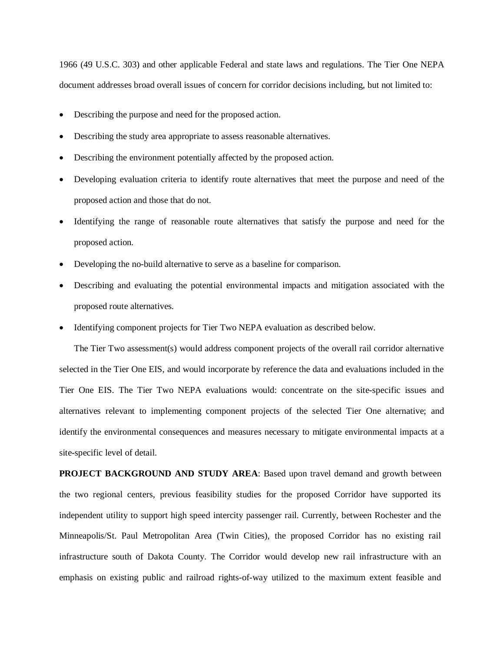1966 (49 U.S.C. 303) and other applicable Federal and state laws and regulations. The Tier One NEPA document addresses broad overall issues of concern for corridor decisions including, but not limited to:

- Describing the purpose and need for the proposed action.
- Describing the study area appropriate to assess reasonable alternatives.
- Describing the environment potentially affected by the proposed action.
- Developing evaluation criteria to identify route alternatives that meet the purpose and need of the proposed action and those that do not.
- Identifying the range of reasonable route alternatives that satisfy the purpose and need for the proposed action.
- Developing the no-build alternative to serve as a baseline for comparison.
- Describing and evaluating the potential environmental impacts and mitigation associated with the proposed route alternatives.
- Identifying component projects for Tier Two NEPA evaluation as described below.

The Tier Two assessment(s) would address component projects of the overall rail corridor alternative selected in the Tier One EIS, and would incorporate by reference the data and evaluations included in the Tier One EIS. The Tier Two NEPA evaluations would: concentrate on the site-specific issues and alternatives relevant to implementing component projects of the selected Tier One alternative; and identify the environmental consequences and measures necessary to mitigate environmental impacts at a site-specific level of detail.

**PROJECT BACKGROUND AND STUDY AREA**: Based upon travel demand and growth between the two regional centers, previous feasibility studies for the proposed Corridor have supported its independent utility to support high speed intercity passenger rail. Currently, between Rochester and the Minneapolis/St. Paul Metropolitan Area (Twin Cities), the proposed Corridor has no existing rail infrastructure south of Dakota County. The Corridor would develop new rail infrastructure with an emphasis on existing public and railroad rights-of-way utilized to the maximum extent feasible and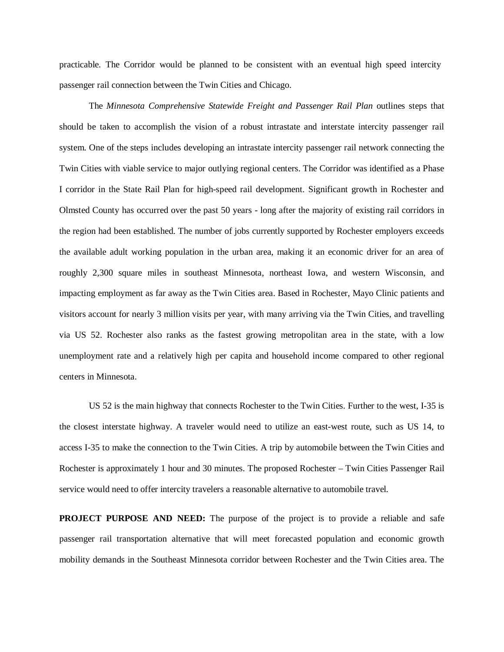practicable. The Corridor would be planned to be consistent with an eventual high speed intercity passenger rail connection between the Twin Cities and Chicago.

The *Minnesota Comprehensive Statewide Freight and Passenger Rail Plan* outlines steps that should be taken to accomplish the vision of a robust intrastate and interstate intercity passenger rail system. One of the steps includes developing an intrastate intercity passenger rail network connecting the Twin Cities with viable service to major outlying regional centers. The Corridor was identified as a Phase I corridor in the State Rail Plan for high-speed rail development. Significant growth in Rochester and Olmsted County has occurred over the past 50 years - long after the majority of existing rail corridors in the region had been established. The number of jobs currently supported by Rochester employers exceeds the available adult working population in the urban area, making it an economic driver for an area of roughly 2,300 square miles in southeast Minnesota, northeast Iowa, and western Wisconsin, and impacting employment as far away as the Twin Cities area. Based in Rochester, Mayo Clinic patients and visitors account for nearly 3 million visits per year, with many arriving via the Twin Cities, and travelling via US 52. Rochester also ranks as the fastest growing metropolitan area in the state, with a low unemployment rate and a relatively high per capita and household income compared to other regional centers in Minnesota.

US 52 is the main highway that connects Rochester to the Twin Cities. Further to the west, I-35 is the closest interstate highway. A traveler would need to utilize an east-west route, such as US 14, to access I-35 to make the connection to the Twin Cities. A trip by automobile between the Twin Cities and Rochester is approximately 1 hour and 30 minutes. The proposed Rochester – Twin Cities Passenger Rail service would need to offer intercity travelers a reasonable alternative to automobile travel.

**PROJECT PURPOSE AND NEED:** The purpose of the project is to provide a reliable and safe passenger rail transportation alternative that will meet forecasted population and economic growth mobility demands in the Southeast Minnesota corridor between Rochester and the Twin Cities area. The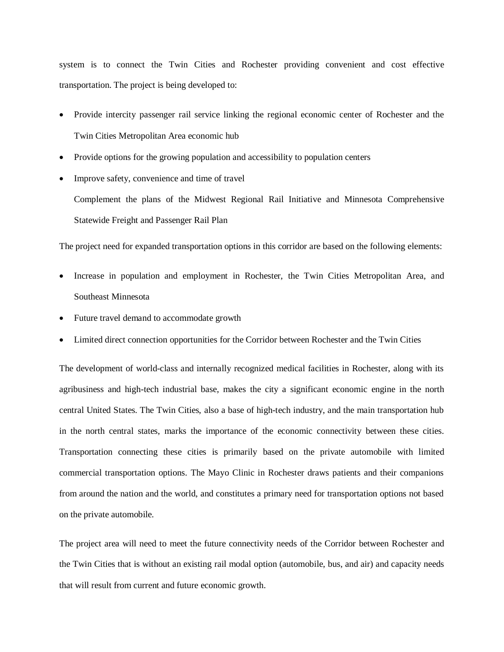system is to connect the Twin Cities and Rochester providing convenient and cost effective transportation. The project is being developed to:

- Provide intercity passenger rail service linking the regional economic center of Rochester and the Twin Cities Metropolitan Area economic hub
- Provide options for the growing population and accessibility to population centers
- Improve safety, convenience and time of travel

Complement the plans of the Midwest Regional Rail Initiative and Minnesota Comprehensive Statewide Freight and Passenger Rail Plan

The project need for expanded transportation options in this corridor are based on the following elements:

- Increase in population and employment in Rochester, the Twin Cities Metropolitan Area, and Southeast Minnesota
- Future travel demand to accommodate growth
- Limited direct connection opportunities for the Corridor between Rochester and the Twin Cities

The development of world-class and internally recognized medical facilities in Rochester, along with its agribusiness and high-tech industrial base, makes the city a significant economic engine in the north central United States. The Twin Cities, also a base of high-tech industry, and the main transportation hub in the north central states, marks the importance of the economic connectivity between these cities. Transportation connecting these cities is primarily based on the private automobile with limited commercial transportation options. The Mayo Clinic in Rochester draws patients and their companions from around the nation and the world, and constitutes a primary need for transportation options not based on the private automobile.

The project area will need to meet the future connectivity needs of the Corridor between Rochester and the Twin Cities that is without an existing rail modal option (automobile, bus, and air) and capacity needs that will result from current and future economic growth.